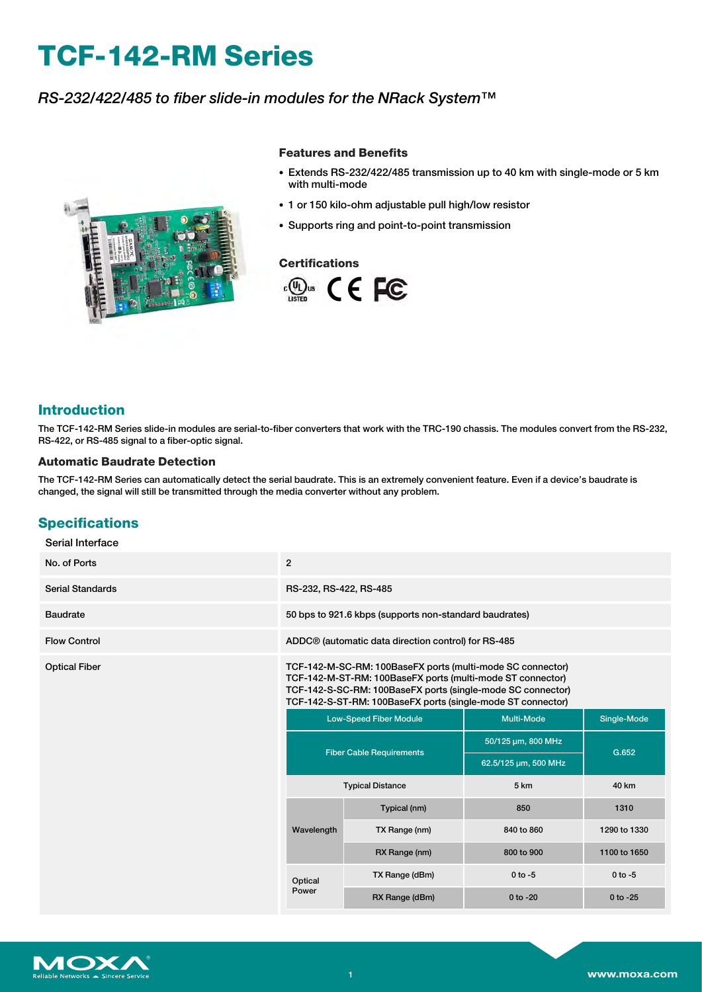# **TCF-142-RM Series**

## *RS-232/422/485 to fiber slide-in modules for the NRack System™*



#### **Features and Benefits**

- Extends RS-232/422/485 transmission up to 40 km with single-mode or 5 km with multi-mode
- 1 or 150 kilo-ohm adjustable pull high/low resistor
- Supports ring and point-to-point transmission

### **Certifications**



## **Introduction**

The TCF-142-RM Series slide-in modules are serial-to-fiber converters that work with the TRC-190 chassis. The modules convert from the RS-232, RS-422, or RS-485 signal to a fiber-optic signal.

#### **Automatic Baudrate Detection**

The TCF-142-RM Series can automatically detect the serial baudrate. This is an extremely convenient feature. Even if a device's baudrate is changed, the signal will still be transmitted through the media converter without any problem.

## **Specifications**

| Serial Interface               |                                                                                                                                                                                                                                                        |                |                      |              |
|--------------------------------|--------------------------------------------------------------------------------------------------------------------------------------------------------------------------------------------------------------------------------------------------------|----------------|----------------------|--------------|
| No. of Ports                   | $\overline{2}$                                                                                                                                                                                                                                         |                |                      |              |
| <b>Serial Standards</b>        | RS-232, RS-422, RS-485                                                                                                                                                                                                                                 |                |                      |              |
| Baudrate                       | 50 bps to 921.6 kbps (supports non-standard baudrates)                                                                                                                                                                                                 |                |                      |              |
| <b>Flow Control</b>            | ADDC <sup>®</sup> (automatic data direction control) for RS-485                                                                                                                                                                                        |                |                      |              |
| <b>Optical Fiber</b>           | TCF-142-M-SC-RM: 100BaseFX ports (multi-mode SC connector)<br>TCF-142-M-ST-RM: 100BaseFX ports (multi-mode ST connector)<br>TCF-142-S-SC-RM: 100BaseFX ports (single-mode SC connector)<br>TCF-142-S-ST-RM: 100BaseFX ports (single-mode ST connector) |                |                      |              |
|                                | <b>Low-Speed Fiber Module</b><br><b>Fiber Cable Requirements</b><br><b>Typical Distance</b>                                                                                                                                                            |                | <b>Multi-Mode</b>    | Single-Mode  |
|                                |                                                                                                                                                                                                                                                        |                | 50/125 µm, 800 MHz   | G.652        |
|                                |                                                                                                                                                                                                                                                        |                | 62.5/125 µm, 500 MHz |              |
|                                |                                                                                                                                                                                                                                                        |                | 5 km                 | 40 km        |
| Wavelength<br>Optical<br>Power |                                                                                                                                                                                                                                                        | Typical (nm)   | 850                  | 1310         |
|                                |                                                                                                                                                                                                                                                        | TX Range (nm)  | 840 to 860           | 1290 to 1330 |
|                                |                                                                                                                                                                                                                                                        | RX Range (nm)  | 800 to 900           | 1100 to 1650 |
|                                |                                                                                                                                                                                                                                                        | TX Range (dBm) | $0$ to $-5$          | $0$ to $-5$  |
|                                | RX Range (dBm)                                                                                                                                                                                                                                         | $0$ to $-20$   | $0$ to $-25$         |              |

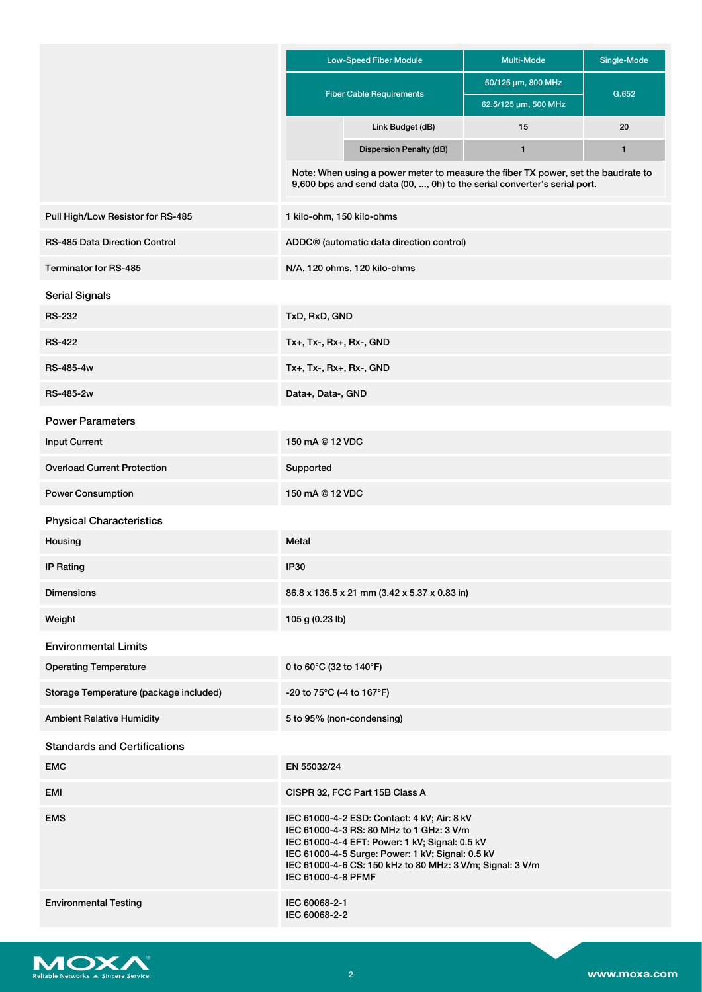|                                        | <b>Low-Speed Fiber Module</b>                                                                                                                                                                                                                                                    | <b>Multi-Mode</b>    | Single-Mode  |
|----------------------------------------|----------------------------------------------------------------------------------------------------------------------------------------------------------------------------------------------------------------------------------------------------------------------------------|----------------------|--------------|
|                                        |                                                                                                                                                                                                                                                                                  | 50/125 µm, 800 MHz   |              |
|                                        | <b>Fiber Cable Requirements</b>                                                                                                                                                                                                                                                  | 62.5/125 µm, 500 MHz | G.652        |
|                                        | Link Budget (dB)                                                                                                                                                                                                                                                                 | 15                   | 20           |
|                                        | Dispersion Penalty (dB)                                                                                                                                                                                                                                                          | $\mathbf{1}$         | $\mathbf{1}$ |
|                                        | Note: When using a power meter to measure the fiber TX power, set the baudrate to<br>9,600 bps and send data (00, , 0h) to the serial converter's serial port.                                                                                                                   |                      |              |
| Pull High/Low Resistor for RS-485      | 1 kilo-ohm, 150 kilo-ohms                                                                                                                                                                                                                                                        |                      |              |
| <b>RS-485 Data Direction Control</b>   | ADDC® (automatic data direction control)                                                                                                                                                                                                                                         |                      |              |
| Terminator for RS-485                  | N/A, 120 ohms, 120 kilo-ohms                                                                                                                                                                                                                                                     |                      |              |
| <b>Serial Signals</b>                  |                                                                                                                                                                                                                                                                                  |                      |              |
| <b>RS-232</b>                          | TxD, RxD, GND                                                                                                                                                                                                                                                                    |                      |              |
| <b>RS-422</b>                          | Tx+, Tx-, Rx+, Rx-, GND                                                                                                                                                                                                                                                          |                      |              |
| <b>RS-485-4w</b>                       | Tx+, Tx-, Rx+, Rx-, GND                                                                                                                                                                                                                                                          |                      |              |
| <b>RS-485-2w</b>                       | Data+, Data-, GND                                                                                                                                                                                                                                                                |                      |              |
| <b>Power Parameters</b>                |                                                                                                                                                                                                                                                                                  |                      |              |
| <b>Input Current</b>                   | 150 mA @ 12 VDC                                                                                                                                                                                                                                                                  |                      |              |
| <b>Overload Current Protection</b>     | Supported                                                                                                                                                                                                                                                                        |                      |              |
| <b>Power Consumption</b>               | 150 mA @ 12 VDC                                                                                                                                                                                                                                                                  |                      |              |
| <b>Physical Characteristics</b>        |                                                                                                                                                                                                                                                                                  |                      |              |
| Housing                                | Metal                                                                                                                                                                                                                                                                            |                      |              |
| <b>IP Rating</b>                       | IP30                                                                                                                                                                                                                                                                             |                      |              |
| <b>Dimensions</b>                      | 86.8 x 136.5 x 21 mm (3.42 x 5.37 x 0.83 in)                                                                                                                                                                                                                                     |                      |              |
| Weight                                 | 105 g (0.23 lb)                                                                                                                                                                                                                                                                  |                      |              |
| <b>Environmental Limits</b>            |                                                                                                                                                                                                                                                                                  |                      |              |
| <b>Operating Temperature</b>           | 0 to 60 $\degree$ C (32 to 140 $\degree$ F)                                                                                                                                                                                                                                      |                      |              |
| Storage Temperature (package included) | -20 to 75°C (-4 to 167°F)                                                                                                                                                                                                                                                        |                      |              |
| <b>Ambient Relative Humidity</b>       | 5 to 95% (non-condensing)                                                                                                                                                                                                                                                        |                      |              |
| <b>Standards and Certifications</b>    |                                                                                                                                                                                                                                                                                  |                      |              |
| <b>EMC</b>                             | EN 55032/24                                                                                                                                                                                                                                                                      |                      |              |
| EMI                                    | CISPR 32, FCC Part 15B Class A                                                                                                                                                                                                                                                   |                      |              |
| <b>EMS</b>                             | IEC 61000-4-2 ESD: Contact: 4 kV; Air: 8 kV<br>IEC 61000-4-3 RS: 80 MHz to 1 GHz: 3 V/m<br>IEC 61000-4-4 EFT: Power: 1 kV; Signal: 0.5 kV<br>IEC 61000-4-5 Surge: Power: 1 kV; Signal: 0.5 kV<br>IEC 61000-4-6 CS: 150 kHz to 80 MHz: 3 V/m; Signal: 3 V/m<br>IEC 61000-4-8 PFMF |                      |              |
| <b>Environmental Testing</b>           | IEC 60068-2-1<br>IEC 60068-2-2                                                                                                                                                                                                                                                   |                      |              |